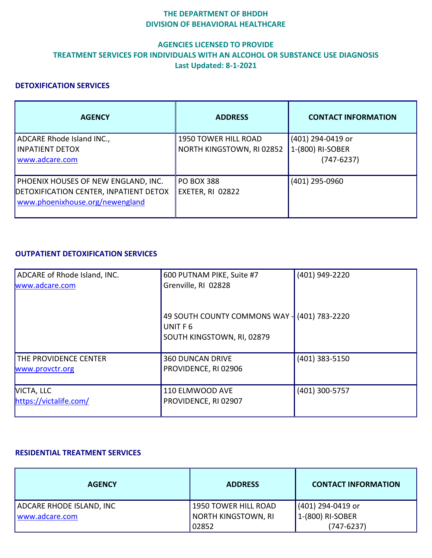### **THE DEPARTMENT OF BHDDH DIVISION OF BEHAVIORAL HEALTHCARE**

# **AGENCIES LICENSED TO PROVIDE TREATMENT SERVICES FOR INDIVIDUALS WITH AN ALCOHOL OR SUBSTANCE USE DIAGNOSIS Last Updated: 8-1-2021**

### **DETOXIFICATION SERVICES**

| <b>AGENCY</b>                                                                                                           | <b>ADDRESS</b>                                           | <b>CONTACT INFORMATION</b>                            |
|-------------------------------------------------------------------------------------------------------------------------|----------------------------------------------------------|-------------------------------------------------------|
| ADCARE Rhode Island INC.,<br><b>INPATIENT DETOX</b><br>www.adcare.com                                                   | <b>1950 TOWER HILL ROAD</b><br>NORTH KINGSTOWN, RI 02852 | (401) 294-0419 or<br>1-(800) RI-SOBER<br>$(747-6237)$ |
| <b>PHOENIX HOUSES OF NEW ENGLAND, INC.</b><br>DETOXIFICATION CENTER, INPATIENT DETOX<br>www.phoenixhouse.org/newengland | <b>PO BOX 388</b><br>EXETER, RI 02822                    | (401) 295-0960                                        |

## **OUTPATIENT DETOXIFICATION SERVICES**

| ADCARE of Rhode Island, INC.<br>www.adcare.com  | 600 PUTNAM PIKE, Suite #7<br>Grenville, RI 02828                        | (401) 949-2220 |
|-------------------------------------------------|-------------------------------------------------------------------------|----------------|
|                                                 | 49 SOUTH COUNTY COMMONS WAY -<br>UNIT F 6<br>SOUTH KINGSTOWN, RI, 02879 | (401) 783-2220 |
| <b>THE PROVIDENCE CENTER</b><br>www.provctr.org | <b>360 DUNCAN DRIVE</b><br>PROVIDENCE, RI 02906                         | (401) 383-5150 |
| VICTA, LLC<br>https://victalife.com/            | 110 ELMWOOD AVE<br>PROVIDENCE, RI 02907                                 | (401) 300-5757 |

#### **RESIDENTIAL TREATMENT SERVICES**

| <b>AGENCY</b>            | <b>ADDRESS</b>       | <b>CONTACT INFORMATION</b> |
|--------------------------|----------------------|----------------------------|
| ADCARE RHODE ISLAND, INC | 1950 TOWER HILL ROAD | (401) 294-0419 or          |
| www.adcare.com           | NORTH KINGSTOWN, RI  | 1-(800) RI-SOBER           |
|                          | 02852                | $(747-6237)$               |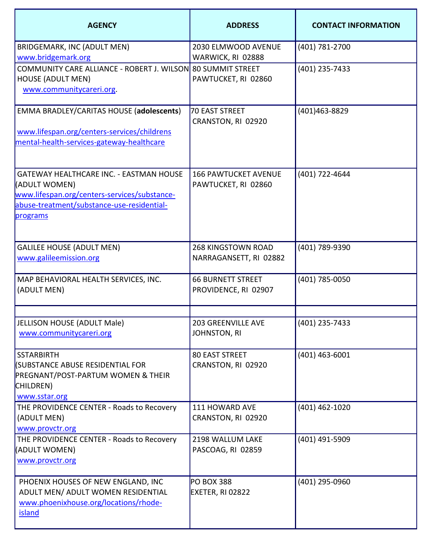| <b>AGENCY</b>                                                                                                                                                      | <b>ADDRESS</b>                                      | <b>CONTACT INFORMATION</b> |
|--------------------------------------------------------------------------------------------------------------------------------------------------------------------|-----------------------------------------------------|----------------------------|
| <b>BRIDGEMARK, INC (ADULT MEN)</b><br>www.bridgemark.org                                                                                                           | 2030 ELMWOOD AVENUE<br>WARWICK, RI 02888            | (401) 781-2700             |
| COMMUNITY CARE ALLIANCE - ROBERT J. WILSON 80 SUMMIT STREET<br><b>HOUSE (ADULT MEN)</b><br>www.communitycareri.org.                                                | PAWTUCKET, RI 02860                                 | (401) 235-7433             |
| EMMA BRADLEY/CARITAS HOUSE (adolescents)<br>www.lifespan.org/centers-services/childrens<br>mental-health-services-gateway-healthcare                               | <b>70 EAST STREET</b><br>CRANSTON, RI 02920         | (401)463-8829              |
| GATEWAY HEALTHCARE INC. - EASTMAN HOUSE<br>(ADULT WOMEN)<br>www.lifespan.org/centers-services/substance-<br>abuse-treatment/substance-use-residential-<br>programs | <b>166 PAWTUCKET AVENUE</b><br>PAWTUCKET, RI 02860  | (401) 722-4644             |
| <b>GALILEE HOUSE (ADULT MEN)</b><br>www.galileemission.org                                                                                                         | <b>268 KINGSTOWN ROAD</b><br>NARRAGANSETT, RI 02882 | (401) 789-9390             |
| MAP BEHAVIORAL HEALTH SERVICES, INC.<br>(ADULT MEN)                                                                                                                | <b>66 BURNETT STREET</b><br>PROVIDENCE, RI 02907    | (401) 785-0050             |
| JELLISON HOUSE (ADULT Male)<br>www.communitycareri.org                                                                                                             | 203 GREENVILLE AVE<br><b>JOHNSTON, RI</b>           | (401) 235-7433             |
| <b>SSTARBIRTH</b><br>(SUBSTANCE ABUSE RESIDENTIAL FOR<br><b>PREGNANT/POST-PARTUM WOMEN &amp; THEIR</b><br>CHILDREN)<br>www.sstar.org                               | <b>80 EAST STREET</b><br>CRANSTON, RI 02920         | $(401)$ 463-6001           |
| THE PROVIDENCE CENTER - Roads to Recovery<br>(ADULT MEN)<br>www.provctr.org                                                                                        | 111 HOWARD AVE<br>CRANSTON, RI 02920                | (401) 462-1020             |
| THE PROVIDENCE CENTER - Roads to Recovery<br>(ADULT WOMEN)<br>www.provctr.org                                                                                      | 2198 WALLUM LAKE<br>PASCOAG, RI 02859               | (401) 491-5909             |
| PHOENIX HOUSES OF NEW ENGLAND, INC<br>ADULT MEN/ ADULT WOMEN RESIDENTIAL<br>www.phoenixhouse.org/locations/rhode-<br><b>island</b>                                 | <b>PO BOX 388</b><br>EXETER, RI 02822               | (401) 295-0960             |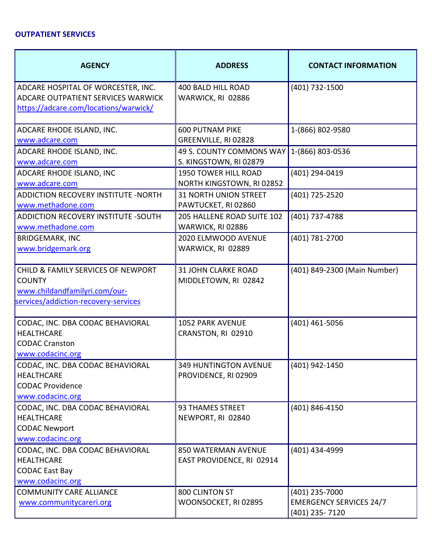### **OUTPATIENT SERVICES**

| <b>AGENCY</b>                                                                                                                | <b>ADDRESS</b>                                       | <b>CONTACT INFORMATION</b>                                         |
|------------------------------------------------------------------------------------------------------------------------------|------------------------------------------------------|--------------------------------------------------------------------|
| ADCARE HOSPITAL OF WORCESTER, INC.<br>ADCARE OUTPATIENT SERVICES WARWICK<br>https://adcare.com/locations/warwick/            | <b>400 BALD HILL ROAD</b><br>WARWICK, RI 02886       | (401) 732-1500                                                     |
| ADCARE RHODE ISLAND, INC.<br>www.adcare.com                                                                                  | <b>600 PUTNAM PIKE</b><br>GREENVILLE, RI 02828       | 1-(866) 802-9580                                                   |
| ADCARE RHODE ISLAND, INC.<br>www.adcare.com                                                                                  | 49 S. COUNTY COMMONS WAY<br>S. KINGSTOWN, RI 02879   | 1-(866) 803-0536                                                   |
| ADCARE RHODE ISLAND, INC<br>www.adcare.com                                                                                   | 1950 TOWER HILL ROAD<br>NORTH KINGSTOWN, RI 02852    | (401) 294-0419                                                     |
| <b>ADDICTION RECOVERY INSTITUTE -NORTH</b><br>www.methadone.com                                                              | <b>31 NORTH UNION STREET</b><br>PAWTUCKET, RI 02860  | (401) 725-2520                                                     |
| ADDICTION RECOVERY INSTITUTE -SOUTH<br>www.methadone.com                                                                     | 205 HALLENE ROAD SUITE 102<br>WARWICK, RI 02886      | (401) 737-4788                                                     |
| <b>BRIDGEMARK, INC</b><br>www.bridgemark.org                                                                                 | 2020 ELMWOOD AVENUE<br>WARWICK, RI 02889             | (401) 781-2700                                                     |
| CHILD & FAMILY SERVICES OF NEWPORT<br><b>COUNTY</b><br>www.childandfamilyri.com/our-<br>services/addiction-recovery-services | <b>31 JOHN CLARKE ROAD</b><br>MIDDLETOWN, RI 02842   | (401) 849-2300 (Main Number)                                       |
| CODAC, INC. DBA CODAC BEHAVIORAL<br><b>HEALTHCARE</b><br><b>CODAC Cranston</b><br>www.codacinc.org                           | 1052 PARK AVENUE<br>CRANSTON, RI 02910               | (401) 461-5056                                                     |
| CODAC, INC. DBA CODAC BEHAVIORAL<br><b>HEALTHCARE</b><br><b>CODAC Providence</b><br>www.codacinc.org                         | <b>349 HUNTINGTON AVENUE</b><br>PROVIDENCE, RI 02909 | (401) 942-1450                                                     |
| CODAC, INC. DBA CODAC BEHAVIORAL<br><b>HEALTHCARE</b><br><b>CODAC Newport</b><br>www.codacinc.org                            | 93 THAMES STREET<br>NEWPORT, RI 02840                | (401) 846-4150                                                     |
| CODAC, INC. DBA CODAC BEHAVIORAL<br><b>HEALTHCARE</b><br><b>CODAC East Bay</b><br>www.codacinc.org                           | 850 WATERMAN AVENUE<br>EAST PROVIDENCE, RI 02914     | (401) 434-4999                                                     |
| <b>COMMUNITY CARE ALLIANCE</b><br>www.communitycareri.org                                                                    | 800 CLINTON ST<br>WOONSOCKET, RI 02895               | (401) 235-7000<br><b>EMERGENCY SERVICES 24/7</b><br>(401) 235-7120 |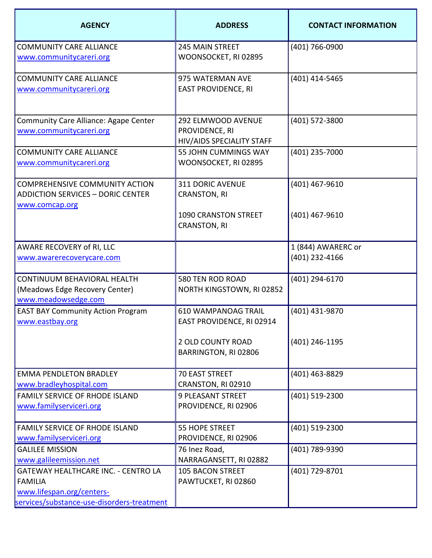| <b>AGENCY</b>                                                                                                                           | <b>ADDRESS</b>                                                    | <b>CONTACT INFORMATION</b>           |
|-----------------------------------------------------------------------------------------------------------------------------------------|-------------------------------------------------------------------|--------------------------------------|
| <b>COMMUNITY CARE ALLIANCE</b><br>www.communitycareri.org                                                                               | <b>245 MAIN STREET</b><br>WOONSOCKET, RI 02895                    | (401) 766-0900                       |
| <b>COMMUNITY CARE ALLIANCE</b><br>www.communitycareri.org                                                                               | 975 WATERMAN AVE<br><b>EAST PROVIDENCE, RI</b>                    | (401) 414-5465                       |
| Community Care Alliance: Agape Center<br>www.communitycareri.org                                                                        | 292 ELMWOOD AVENUE<br>PROVIDENCE, RI<br>HIV/AIDS SPECIALITY STAFF | (401) 572-3800                       |
| <b>COMMUNITY CARE ALLIANCE</b><br>www.communitycareri.org                                                                               | 55 JOHN CUMMINGS WAY<br>WOONSOCKET, RI 02895                      | (401) 235-7000                       |
| <b>COMPREHENSIVE COMMUNITY ACTION</b><br><b>ADDICTION SERVICES - DORIC CENTER</b><br>www.comcap.org                                     | <b>311 DORIC AVENUE</b><br><b>CRANSTON, RI</b>                    | (401) 467-9610                       |
|                                                                                                                                         | <b>1090 CRANSTON STREET</b><br><b>CRANSTON, RI</b>                | $(401)$ 467-9610                     |
| AWARE RECOVERY of RI, LLC<br>www.awarerecoverycare.com                                                                                  |                                                                   | 1 (844) AWARERC or<br>(401) 232-4166 |
| CONTINUUM BEHAVIORAL HEALTH<br>(Meadows Edge Recovery Center)<br>www.meadowsedge.com                                                    | 580 TEN ROD ROAD<br>NORTH KINGSTOWN, RI 02852                     | (401) 294-6170                       |
| <b>EAST BAY Community Action Program</b><br>www.eastbay.org                                                                             | <b>610 WAMPANOAG TRAIL</b><br>EAST PROVIDENCE, RI 02914           | (401) 431-9870                       |
|                                                                                                                                         | <b>2 OLD COUNTY ROAD</b><br>BARRINGTON, RI 02806                  | (401) 246-1195                       |
| <b>EMMA PENDLETON BRADLEY</b><br>www.bradleyhospital.com                                                                                | 70 EAST STREET<br>CRANSTON, RI 02910                              | (401) 463-8829                       |
| <b>FAMILY SERVICE OF RHODE ISLAND</b><br>www.familyserviceri.org                                                                        | <b>9 PLEASANT STREET</b><br>PROVIDENCE, RI 02906                  | (401) 519-2300                       |
| <b>FAMILY SERVICE OF RHODE ISLAND</b><br>www.familyserviceri.org                                                                        | 55 HOPE STREET<br>PROVIDENCE, RI 02906                            | (401) 519-2300                       |
| <b>GALILEE MISSION</b><br>www.galileemission.net                                                                                        | 76 Inez Road,<br>NARRAGANSETT, RI 02882                           | (401) 789-9390                       |
| <b>GATEWAY HEALTHCARE INC. - CENTRO LA</b><br><b>FAMILIA</b><br>www.lifespan.org/centers-<br>services/substance-use-disorders-treatment | <b>105 BACON STREET</b><br>PAWTUCKET, RI 02860                    | (401) 729-8701                       |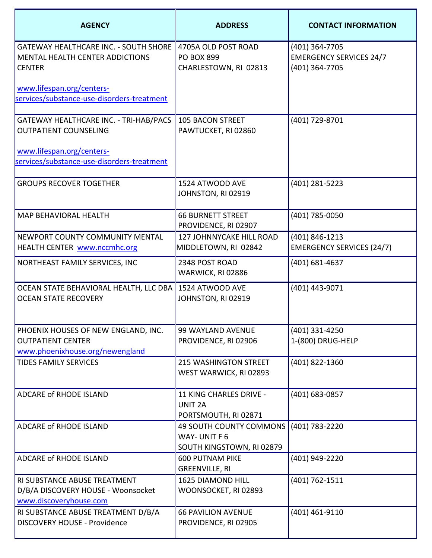| <b>AGENCY</b>                                                                                           | <b>ADDRESS</b>                                                       | <b>CONTACT INFORMATION</b>                                         |
|---------------------------------------------------------------------------------------------------------|----------------------------------------------------------------------|--------------------------------------------------------------------|
| <b>GATEWAY HEALTHCARE INC. - SOUTH SHORE</b><br><b>MENTAL HEALTH CENTER ADDICTIONS</b><br><b>CENTER</b> | 4705A OLD POST ROAD<br><b>PO BOX 899</b><br>CHARLESTOWN, RI 02813    | (401) 364-7705<br><b>EMERGENCY SERVICES 24/7</b><br>(401) 364-7705 |
| www.lifespan.org/centers-<br>services/substance-use-disorders-treatment                                 |                                                                      |                                                                    |
| GATEWAY HEALTHCARE INC. - TRI-HAB/PACS<br><b>OUTPATIENT COUNSELING</b>                                  | <b>105 BACON STREET</b><br>PAWTUCKET, RI 02860                       | (401) 729-8701                                                     |
| www.lifespan.org/centers-<br>services/substance-use-disorders-treatment                                 |                                                                      |                                                                    |
| <b>GROUPS RECOVER TOGETHER</b>                                                                          | 1524 ATWOOD AVE<br>JOHNSTON, RI 02919                                | (401) 281-5223                                                     |
| <b>MAP BEHAVIORAL HEALTH</b>                                                                            | <b>66 BURNETT STREET</b><br>PROVIDENCE, RI 02907                     | (401) 785-0050                                                     |
| NEWPORT COUNTY COMMUNITY MENTAL<br>HEALTH CENTER www.nccmhc.org                                         | <b>127 JOHNNYCAKE HILL ROAD</b><br>MIDDLETOWN, RI 02842              | (401) 846-1213<br><b>EMERGENCY SERVICES (24/7)</b>                 |
| NORTHEAST FAMILY SERVICES, INC                                                                          | 2348 POST ROAD<br>WARWICK, RI 02886                                  | (401) 681-4637                                                     |
| OCEAN STATE BEHAVIORAL HEALTH, LLC DBA<br><b>OCEAN STATE RECOVERY</b>                                   | 1524 ATWOOD AVE<br>JOHNSTON, RI 02919                                | (401) 443-9071                                                     |
| PHOENIX HOUSES OF NEW ENGLAND, INC.<br><b>OUTPATIENT CENTER</b><br>www.phoenixhouse.org/newengland      | 99 WAYLAND AVENUE<br>PROVIDENCE, RI 02906                            | (401) 331-4250<br>1-(800) DRUG-HELP                                |
| <b>TIDES FAMILY SERVICES</b>                                                                            | <b>215 WASHINGTON STREET</b><br>WEST WARWICK, RI 02893               | (401) 822-1360                                                     |
| <b>ADCARE of RHODE ISLAND</b>                                                                           | 11 KING CHARLES DRIVE -<br><b>UNIT 2A</b><br>PORTSMOUTH, RI 02871    | (401) 683-0857                                                     |
| <b>ADCARE of RHODE ISLAND</b>                                                                           | 49 SOUTH COUNTY COMMONS<br>WAY-UNIT F 6<br>SOUTH KINGSTOWN, RI 02879 | (401) 783-2220                                                     |
| ADCARE of RHODE ISLAND                                                                                  | <b>600 PUTNAM PIKE</b><br><b>GREENVILLE, RI</b>                      | (401) 949-2220                                                     |
| RI SUBSTANCE ABUSE TREATMENT<br>D/B/A DISCOVERY HOUSE - Woonsocket<br>www.discoveryhouse.com            | <b>1625 DIAMOND HILL</b><br>WOONSOCKET, RI 02893                     | (401) 762-1511                                                     |
| RI SUBSTANCE ABUSE TREATMENT D/B/A<br><b>DISCOVERY HOUSE - Providence</b>                               | <b>66 PAVILION AVENUE</b><br>PROVIDENCE, RI 02905                    | (401) 461-9110                                                     |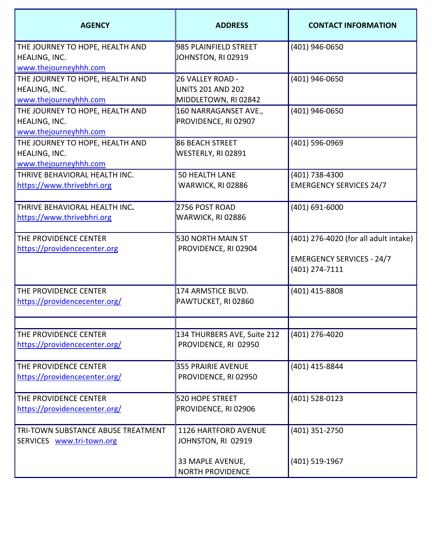| <b>AGENCY</b>                                                             | <b>ADDRESS</b>                                                       | <b>CONTACT INFORMATION</b>                                                                    |
|---------------------------------------------------------------------------|----------------------------------------------------------------------|-----------------------------------------------------------------------------------------------|
| THE JOURNEY TO HOPE, HEALTH AND<br>HEALING, INC.<br>www.thejourneyhhh.com | 985 PLAINFIELD STREET<br>JOHNSTON, RI 02919                          | (401) 946-0650                                                                                |
| THE JOURNEY TO HOPE, HEALTH AND<br>HEALING, INC.<br>www.thejourneyhhh.com | 26 VALLEY ROAD -<br><b>UNITS 201 AND 202</b><br>MIDDLETOWN, RI 02842 | (401) 946-0650                                                                                |
| THE JOURNEY TO HOPE, HEALTH AND<br>HEALING, INC.<br>www.thejourneyhhh.com | 160 NARRAGANSET AVE.,<br>PROVIDENCE, RI 02907                        | (401) 946-0650                                                                                |
| THE JOURNEY TO HOPE, HEALTH AND<br>HEALING, INC.<br>www.thejourneyhhh.com | <b>86 BEACH STREET</b><br>WESTERLY, RI 02891                         | (401) 596-0969                                                                                |
| THRIVE BEHAVIORAL HEALTH INC.<br>https://www.thrivebhri.org               | <b>50 HEALTH LANE</b><br>WARWICK, RI 02886                           | (401) 738-4300<br><b>EMERGENCY SERVICES 24/7</b>                                              |
| THRIVE BEHAVIORAL HEALTH INC.<br>https://www.thrivebhri.org               | 2756 POST ROAD<br>WARWICK, RI 02886                                  | $(401) 691 - 6000$                                                                            |
| THE PROVIDENCE CENTER<br>https://providencecenter.org                     | 530 NORTH MAIN ST<br>PROVIDENCE, RI 02904                            | (401) 276-4020 (for all adult intake)<br><b>EMERGENCY SERVICES - 24/7</b><br>$(401)$ 274-7111 |
| THE PROVIDENCE CENTER<br>https://providencecenter.org/                    | 174 ARMSTICE BLVD.<br>PAWTUCKET, RI 02860                            | (401) 415-8808                                                                                |
| THE PROVIDENCE CENTER<br>https://providencecenter.org/                    | 134 THURBERS AVE, Suite 212<br>PROVIDENCE, RI 02950                  | (401) 276-4020                                                                                |
| THE PROVIDENCE CENTER<br>https://providencecenter.org/                    | <b>355 PRAIRIE AVENUE</b><br>PROVIDENCE, RI 02950                    | (401) 415-8844                                                                                |
| THE PROVIDENCE CENTER<br>https://providencecenter.org/                    | <b>520 HOPE STREET</b><br>PROVIDENCE, RI 02906                       | (401) 528-0123                                                                                |
| TRI-TOWN SUBSTANCE ABUSE TREATMENT<br>SERVICES www.tri-town.org           | <b>1126 HARTFORD AVENUE</b><br>JOHNSTON, RI 02919                    | (401) 351-2750                                                                                |
|                                                                           | 33 MAPLE AVENUE,<br><b>NORTH PROVIDENCE</b>                          | (401) 519-1967                                                                                |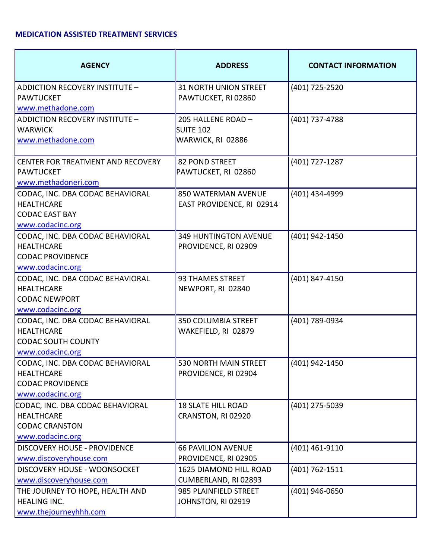### **MEDICATION ASSISTED TREATMENT SERVICES**

| <b>AGENCY</b>                                                                                          | <b>ADDRESS</b>                                       | <b>CONTACT INFORMATION</b> |
|--------------------------------------------------------------------------------------------------------|------------------------------------------------------|----------------------------|
| ADDICTION RECOVERY INSTITUTE -<br><b>PAWTUCKET</b><br>www.methadone.com                                | <b>31 NORTH UNION STREET</b><br>PAWTUCKET, RI 02860  | (401) 725-2520             |
| ADDICTION RECOVERY INSTITUTE -<br><b>WARWICK</b><br>www.methadone.com                                  | 205 HALLENE ROAD -<br>SUITE 102<br>WARWICK, RI 02886 | (401) 737-4788             |
| CENTER FOR TREATMENT AND RECOVERY<br><b>PAWTUCKET</b><br>www.methadoneri.com                           | <b>82 POND STREET</b><br>PAWTUCKET, RI 02860         | (401) 727-1287             |
| CODAC, INC. DBA CODAC BEHAVIORAL<br><b>HEALTHCARE</b><br><b>CODAC EAST BAY</b><br>www.codacinc.org     | 850 WATERMAN AVENUE<br>EAST PROVIDENCE, RI 02914     | (401) 434-4999             |
| CODAC, INC. DBA CODAC BEHAVIORAL<br><b>HEALTHCARE</b><br><b>CODAC PROVIDENCE</b><br>www.codacinc.org   | <b>349 HUNTINGTON AVENUE</b><br>PROVIDENCE, RI 02909 | (401) 942-1450             |
| CODAC, INC. DBA CODAC BEHAVIORAL<br><b>HEALTHCARE</b><br><b>CODAC NEWPORT</b><br>www.codacinc.org      | <b>93 THAMES STREET</b><br>NEWPORT, RI 02840         | (401) 847-4150             |
| CODAC, INC. DBA CODAC BEHAVIORAL<br><b>HEALTHCARE</b><br><b>CODAC SOUTH COUNTY</b><br>www.codacinc.org | <b>350 COLUMBIA STREET</b><br>WAKEFIELD, RI 02879    | (401) 789-0934             |
| CODAC, INC. DBA CODAC BEHAVIORAL<br><b>HEALTHCARE</b><br><b>CODAC PROVIDENCE</b><br>www.codacinc.org   | 530 NORTH MAIN STREET<br>PROVIDENCE, RI 02904        | (401) 942-1450             |
| CODAC, INC. DBA CODAC BEHAVIORAL<br><b>HEALTHCARE</b><br><b>CODAC CRANSTON</b><br>www.codacinc.org     | <b>18 SLATE HILL ROAD</b><br>CRANSTON, RI 02920      | (401) 275-5039             |
| <b>DISCOVERY HOUSE - PROVIDENCE</b><br>www.discoveryhouse.com                                          | <b>66 PAVILION AVENUE</b><br>PROVIDENCE, RI 02905    | (401) 461-9110             |
| DISCOVERY HOUSE - WOONSOCKET<br>www.discoveryhouse.com                                                 | 1625 DIAMOND HILL ROAD<br>CUMBERLAND, RI 02893       | (401) 762-1511             |
| THE JOURNEY TO HOPE, HEALTH AND<br><b>HEALING INC.</b><br>www.thejourneyhhh.com                        | 985 PLAINFIELD STREET<br>JOHNSTON, RI 02919          | (401) 946-0650             |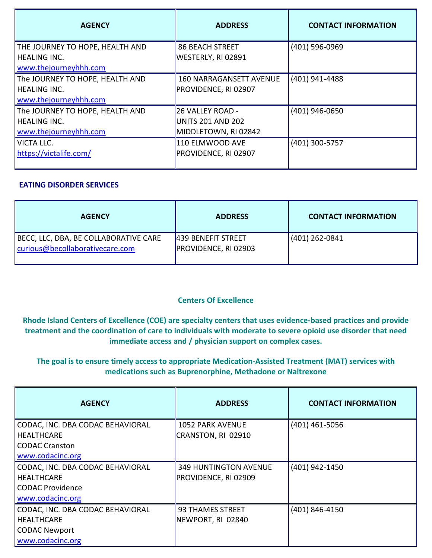| <b>AGENCY</b>                                          | <b>ADDRESS</b>                               | <b>CONTACT INFORMATION</b> |
|--------------------------------------------------------|----------------------------------------------|----------------------------|
| THE JOURNEY TO HOPE, HEALTH AND<br><b>HEALING INC.</b> | <b>86 BEACH STREET</b><br>WESTERLY, RI 02891 | (401) 596-0969             |
| www.thejourneyhhh.com                                  |                                              |                            |
| The JOURNEY TO HOPE, HEALTH AND                        | <b>160 NARRAGANSETT AVENUE</b>               | (401) 941-4488             |
| <b>HEALING INC.</b><br>www.thejourneyhhh.com           | <b>PROVIDENCE, RI 02907</b>                  |                            |
| The JOURNEY TO HOPE, HEALTH AND                        | 26 VALLEY ROAD -                             | (401) 946-0650             |
| <b>HEALING INC.</b>                                    | UNITS 201 AND 202                            |                            |
| www.thejourneyhhh.com                                  | MIDDLETOWN, RI 02842                         |                            |
| <b>VICTA LLC.</b>                                      | 110 ELMWOOD AVE                              | (401) 300-5757             |
| https://victalife.com/                                 | PROVIDENCE, RI 02907                         |                            |

#### **EATING DISORDER SERVICES**

| <b>AGENCY</b>                                                            | <b>ADDRESS</b>                                    | <b>CONTACT INFORMATION</b> |
|--------------------------------------------------------------------------|---------------------------------------------------|----------------------------|
| BECC, LLC, DBA, BE COLLABORATIVE CARE<br>curious@becollaborativecare.com | 439 BENEFIT STREET<br><b>PROVIDENCE, RI 02903</b> | (401) 262-0841             |

## **Centers Of Excellence**

**Rhode Island Centers of Excellence (COE) are specialty centers that uses evidence-based practices and provide treatment and the coordination of care to individuals with moderate to severe opioid use disorder that need immediate access and / physician support on complex cases.** 

# **The goal is to ensure timely access to appropriate Medication-Assisted Treatment (MAT) services with medications such as Buprenorphine, Methadone or Naltrexone**

| <b>AGENCY</b>                    | <b>ADDRESS</b>               | <b>CONTACT INFORMATION</b> |
|----------------------------------|------------------------------|----------------------------|
| CODAC, INC. DBA CODAC BEHAVIORAL | <b>1052 PARK AVENUE</b>      | (401) 461-5056             |
| HEALTHCARE                       | CRANSTON, RI 02910           |                            |
| <b>CODAC Cranston</b>            |                              |                            |
| www.codacinc.org                 |                              |                            |
| CODAC, INC. DBA CODAC BEHAVIORAL | <b>349 HUNTINGTON AVENUE</b> | (401) 942-1450             |
| <b>HEALTHCARE</b>                | PROVIDENCE, RI 02909         |                            |
| <b>CODAC Providence</b>          |                              |                            |
| www.codacinc.org                 |                              |                            |
| CODAC, INC. DBA CODAC BEHAVIORAL | <b>93 THAMES STREET</b>      | (401) 846-4150             |
| <b>HEALTHCARE</b>                | NEWPORT, RI 02840            |                            |
| <b>CODAC Newport</b>             |                              |                            |
| www.codacinc.org                 |                              |                            |